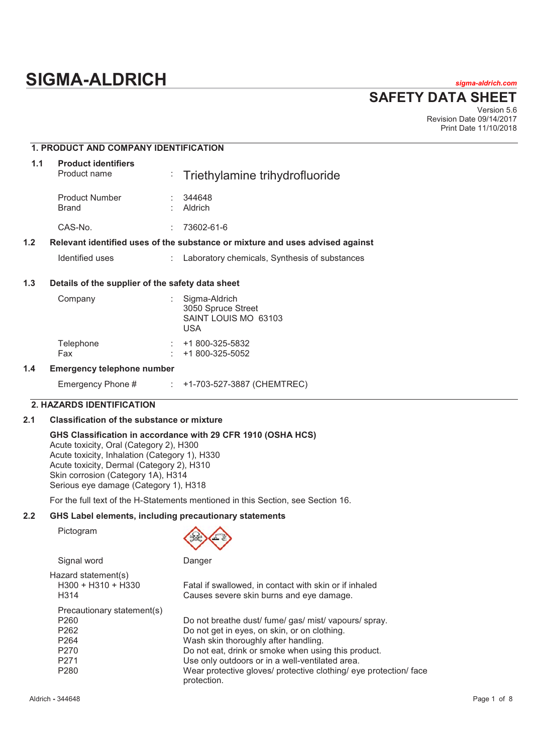# **SIGMA-ALDRICH** *sigma-aldrich.com*

**SAFETY DATA SHEET**

Version 5.6 Revision Date 09/14/2017 Print Date 11/10/2018

# **1. PRODUCT AND COMPANY IDENTIFICATION 1.1 Product identifiers**  Product name : Triethylamine trihydrofluoride

|     | 1100000001101110                                 |   | <u>Elitetriviamme</u> trinvaronuonde                                          |
|-----|--------------------------------------------------|---|-------------------------------------------------------------------------------|
|     | <b>Product Number</b><br><b>Brand</b>            |   | 344648<br>Aldrich                                                             |
|     | CAS-No.                                          | ÷ | 73602-61-6                                                                    |
| 1.2 |                                                  |   | Relevant identified uses of the substance or mixture and uses advised against |
|     | Identified uses                                  |   | : Laboratory chemicals, Synthesis of substances                               |
| 1 C | Detaile of the cunnlier of the estaty data sheet |   |                                                                               |

# **1.3 Details of the supplier of the safety data sheet**

| Company                   | Sigma-Aldrich<br>3050 Spruce Street<br>SAINT LOUIS MO 63103<br>USA |
|---------------------------|--------------------------------------------------------------------|
| Telephone                 | +1 800-325-5832                                                    |
| Fax                       | +1 800-325-5052                                                    |
| morganov tolonhono numbor |                                                                    |

# **1.4 Emergency telephone number**

| Emergency Phone # |  | +1-703-527-3887 (CHEMTREC) |
|-------------------|--|----------------------------|
|-------------------|--|----------------------------|

# **2. HAZARDS IDENTIFICATION**

# **2.1 Classification of the substance or mixture**

#### **GHS Classification in accordance with 29 CFR 1910 (OSHA HCS)**  Acute toxicity, Oral (Category 2), H300

Acute toxicity, Inhalation (Category 1), H330 Acute toxicity, Dermal (Category 2), H310 Skin corrosion (Category 1A), H314 Serious eye damage (Category 1), H318

For the full text of the H-Statements mentioned in this Section, see Section 16.

# **2.2 GHS Label elements, including precautionary statements**

Pictogram



Signal word **Danger** Danger

| Hazard statement(s)<br>H300 + H310 + H330<br>H <sub>3</sub> 14 | Fatal if swallowed, in contact with skin or if inhaled<br>Causes severe skin burns and eye damage. |
|----------------------------------------------------------------|----------------------------------------------------------------------------------------------------|
| Precautionary statement(s)                                     |                                                                                                    |
| P <sub>260</sub>                                               | Do not breathe dust/ fume/ gas/ mist/ vapours/ spray.                                              |
| P <sub>262</sub>                                               | Do not get in eyes, on skin, or on clothing.                                                       |
| P <sub>264</sub>                                               | Wash skin thoroughly after handling.                                                               |
| P <sub>270</sub>                                               | Do not eat, drink or smoke when using this product.                                                |
| P <sub>271</sub>                                               | Use only outdoors or in a well-ventilated area.                                                    |
| P <sub>280</sub>                                               | Wear protective gloves/ protective clothing/ eye protection/ face<br>protection.                   |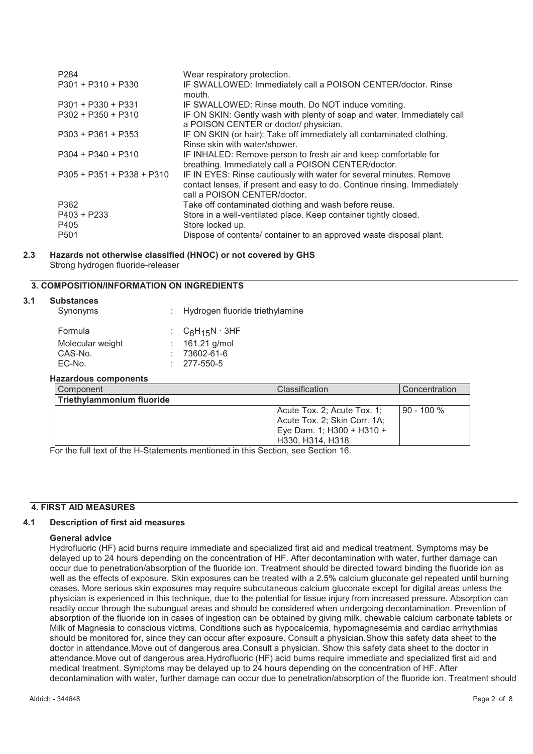| P <sub>284</sub>            | Wear respiratory protection.                                                                                                                                                    |
|-----------------------------|---------------------------------------------------------------------------------------------------------------------------------------------------------------------------------|
| $P301 + P310 + P330$        | IF SWALLOWED: Immediately call a POISON CENTER/doctor. Rinse<br>mouth.                                                                                                          |
| $P301 + P330 + P331$        | IF SWALLOWED: Rinse mouth. Do NOT induce vomiting.                                                                                                                              |
| $P302 + P350 + P310$        | IF ON SKIN: Gently wash with plenty of soap and water. Immediately call<br>a POISON CENTER or doctor/ physician.                                                                |
| $P303 + P361 + P353$        | IF ON SKIN (or hair): Take off immediately all contaminated clothing.<br>Rinse skin with water/shower.                                                                          |
| $P304 + P340 + P310$        | IF INHALED: Remove person to fresh air and keep comfortable for<br>breathing. Immediately call a POISON CENTER/doctor.                                                          |
| $P305 + P351 + P338 + P310$ | IF IN EYES: Rinse cautiously with water for several minutes. Remove<br>contact lenses, if present and easy to do. Continue rinsing. Immediately<br>call a POISON CENTER/doctor. |
| P362                        | Take off contaminated clothing and wash before reuse.                                                                                                                           |
| P403 + P233                 | Store in a well-ventilated place. Keep container tightly closed.                                                                                                                |
| P405                        | Store locked up.                                                                                                                                                                |
| P <sub>501</sub>            | Dispose of contents/ container to an approved waste disposal plant.                                                                                                             |

**2.3 Hazards not otherwise classified (HNOC) or not covered by GHS**  Strong hydrogen fluoride-releaser

# **3. COMPOSITION/INFORMATION ON INGREDIENTS**

| 3.1 | <b>Substances</b>           |                                 |                |
|-----|-----------------------------|---------------------------------|----------------|
|     | Synonyms                    | Hydrogen fluoride triethylamine |                |
|     | Formula                     | : $C_6H_{15}N \cdot 3HF$        |                |
|     | Molecular weight            | 161.21 g/mol                    |                |
|     | CAS-No.                     | 73602-61-6                      |                |
|     | EC-No.                      | 277-550-5                       |                |
|     | <b>Hazardous components</b> |                                 |                |
|     | Component                   |                                 | Classification |
|     | Triethylammonium fluoride   |                                 |                |

| Triethylammonium fluoride |                                                                                                                |                |
|---------------------------|----------------------------------------------------------------------------------------------------------------|----------------|
|                           | Acute Tox. 2; Acute Tox. 1;<br>Acute Tox. 2; Skin Corr. 1A;<br>Eye Dam. 1; H300 + H310 +<br>l H330. H314. H318 | $190 - 100 \%$ |

For the full text of the H-Statements mentioned in this Section, see Section 16.

### **4. FIRST AID MEASURES**

#### **4.1 Description of first aid measures**

#### **General advice**

Hydrofluoric (HF) acid burns require immediate and specialized first aid and medical treatment. Symptoms may be delayed up to 24 hours depending on the concentration of HF. After decontamination with water, further damage can occur due to penetration/absorption of the fluoride ion. Treatment should be directed toward binding the fluoride ion as well as the effects of exposure. Skin exposures can be treated with a 2.5% calcium gluconate gel repeated until burning ceases. More serious skin exposures may require subcutaneous calcium gluconate except for digital areas unless the physician is experienced in this technique, due to the potential for tissue injury from increased pressure. Absorption can readily occur through the subungual areas and should be considered when undergoing decontamination. Prevention of absorption of the fluoride ion in cases of ingestion can be obtained by giving milk, chewable calcium carbonate tablets or Milk of Magnesia to conscious victims. Conditions such as hypocalcemia, hypomagnesemia and cardiac arrhythmias should be monitored for, since they can occur after exposure. Consult a physician.Show this safety data sheet to the doctor in attendance.Move out of dangerous area.Consult a physician. Show this safety data sheet to the doctor in attendance.Move out of dangerous area.Hydrofluoric (HF) acid burns require immediate and specialized first aid and medical treatment. Symptoms may be delayed up to 24 hours depending on the concentration of HF. After decontamination with water, further damage can occur due to penetration/absorption of the fluoride ion. Treatment should

Concentration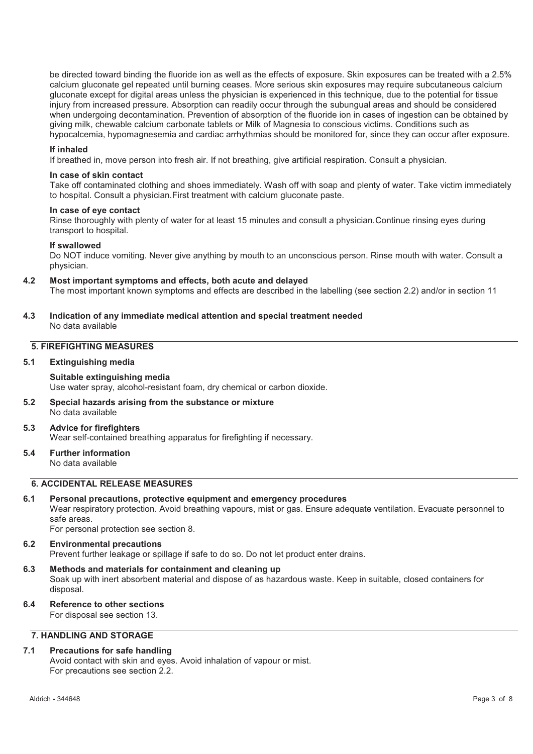be directed toward binding the fluoride ion as well as the effects of exposure. Skin exposures can be treated with a 2.5% calcium gluconate gel repeated until burning ceases. More serious skin exposures may require subcutaneous calcium gluconate except for digital areas unless the physician is experienced in this technique, due to the potential for tissue injury from increased pressure. Absorption can readily occur through the subungual areas and should be considered when undergoing decontamination. Prevention of absorption of the fluoride ion in cases of ingestion can be obtained by giving milk, chewable calcium carbonate tablets or Milk of Magnesia to conscious victims. Conditions such as hypocalcemia, hypomagnesemia and cardiac arrhythmias should be monitored for, since they can occur after exposure.

#### **If inhaled**

If breathed in, move person into fresh air. If not breathing, give artificial respiration. Consult a physician.

#### **In case of skin contact**

Take off contaminated clothing and shoes immediately. Wash off with soap and plenty of water. Take victim immediately to hospital. Consult a physician.First treatment with calcium gluconate paste.

#### **In case of eye contact**

Rinse thoroughly with plenty of water for at least 15 minutes and consult a physician.Continue rinsing eyes during transport to hospital.

#### **If swallowed**

Do NOT induce vomiting. Never give anything by mouth to an unconscious person. Rinse mouth with water. Consult a physician.

#### **4.2 Most important symptoms and effects, both acute and delayed**

The most important known symptoms and effects are described in the labelling (see section 2.2) and/or in section 11

**4.3 Indication of any immediate medical attention and special treatment needed**  No data available

# **5. FIREFIGHTING MEASURES**

#### **5.1 Extinguishing media**

#### **Suitable extinguishing media**

Use water spray, alcohol-resistant foam, dry chemical or carbon dioxide.

**5.2 Special hazards arising from the substance or mixture**  No data available

#### **5.3 Advice for firefighters**  Wear self-contained breathing apparatus for firefighting if necessary.

#### **5.4 Further information**  No data available

# **6. ACCIDENTAL RELEASE MEASURES**

#### **6.1 Personal precautions, protective equipment and emergency procedures**

Wear respiratory protection. Avoid breathing vapours, mist or gas. Ensure adequate ventilation. Evacuate personnel to safe areas.

For personal protection see section 8.

#### **6.2 Environmental precautions**  Prevent further leakage or spillage if safe to do so. Do not let product enter drains.

**6.3 Methods and materials for containment and cleaning up** 

Soak up with inert absorbent material and dispose of as hazardous waste. Keep in suitable, closed containers for disposal.

**6.4 Reference to other sections**  For disposal see section 13.

# **7. HANDLING AND STORAGE**

# **7.1 Precautions for safe handling**

Avoid contact with skin and eyes. Avoid inhalation of vapour or mist. For precautions see section 2.2.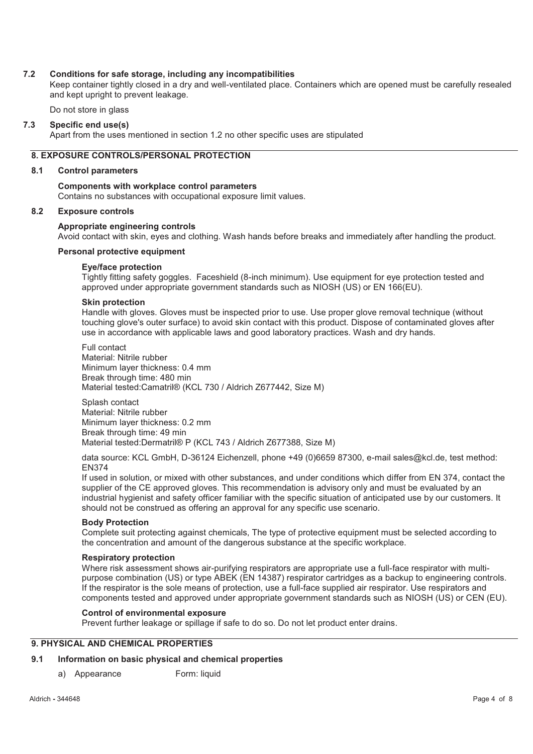#### **7.2 Conditions for safe storage, including any incompatibilities**

Keep container tightly closed in a dry and well-ventilated place. Containers which are opened must be carefully resealed and kept upright to prevent leakage.

Do not store in glass

#### **7.3 Specific end use(s)**

Apart from the uses mentioned in section 1.2 no other specific uses are stipulated

# **8. EXPOSURE CONTROLS/PERSONAL PROTECTION**

#### **8.1 Control parameters**

# **Components with workplace control parameters**

Contains no substances with occupational exposure limit values.

#### **8.2 Exposure controls**

#### **Appropriate engineering controls**

Avoid contact with skin, eyes and clothing. Wash hands before breaks and immediately after handling the product.

#### **Personal protective equipment**

#### **Eye/face protection**

Tightly fitting safety goggles. Faceshield (8-inch minimum). Use equipment for eye protection tested and approved under appropriate government standards such as NIOSH (US) or EN 166(EU).

#### **Skin protection**

Handle with gloves. Gloves must be inspected prior to use. Use proper glove removal technique (without touching glove's outer surface) to avoid skin contact with this product. Dispose of contaminated gloves after use in accordance with applicable laws and good laboratory practices. Wash and dry hands.

Full contact Material: Nitrile rubber Minimum layer thickness: 0.4 mm Break through time: 480 min Material tested:Camatril® (KCL 730 / Aldrich Z677442, Size M)

Splash contact Material: Nitrile rubber Minimum layer thickness: 0.2 mm Break through time: 49 min Material tested:Dermatril® P (KCL 743 / Aldrich Z677388, Size M)

data source: KCL GmbH, D-36124 Eichenzell, phone +49 (0)6659 87300, e-mail sales@kcl.de, test method: EN374

If used in solution, or mixed with other substances, and under conditions which differ from EN 374, contact the supplier of the CE approved gloves. This recommendation is advisory only and must be evaluated by an industrial hygienist and safety officer familiar with the specific situation of anticipated use by our customers. It should not be construed as offering an approval for any specific use scenario.

#### **Body Protection**

Complete suit protecting against chemicals, The type of protective equipment must be selected according to the concentration and amount of the dangerous substance at the specific workplace.

#### **Respiratory protection**

Where risk assessment shows air-purifying respirators are appropriate use a full-face respirator with multipurpose combination (US) or type ABEK (EN 14387) respirator cartridges as a backup to engineering controls. If the respirator is the sole means of protection, use a full-face supplied air respirator. Use respirators and components tested and approved under appropriate government standards such as NIOSH (US) or CEN (EU).

#### **Control of environmental exposure**

Prevent further leakage or spillage if safe to do so. Do not let product enter drains.

# **9. PHYSICAL AND CHEMICAL PROPERTIES**

#### **9.1 Information on basic physical and chemical properties**

a) Appearance Form: liquid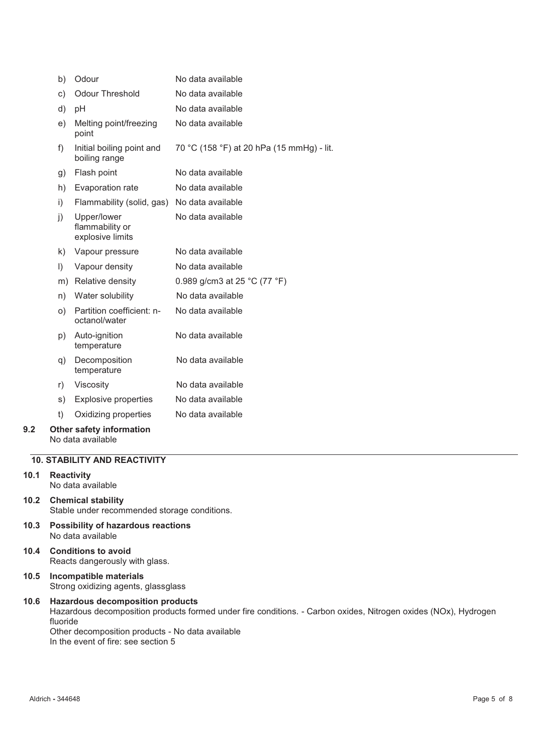|     | b)      | Odour                                              | No data available                         |
|-----|---------|----------------------------------------------------|-------------------------------------------|
|     | c)      | <b>Odour Threshold</b>                             | No data available                         |
|     | d)      | рH                                                 | No data available                         |
|     | e)      | Melting point/freezing<br>point                    | No data available                         |
|     | f)      | Initial boiling point and<br>boiling range         | 70 °C (158 °F) at 20 hPa (15 mmHg) - lit. |
|     | g)      | Flash point                                        | No data available                         |
|     | h)      | Evaporation rate                                   | No data available                         |
|     | i)      | Flammability (solid, gas)                          | No data available                         |
|     | j)      | Upper/lower<br>flammability or<br>explosive limits | No data available                         |
|     | k)      | Vapour pressure                                    | No data available                         |
|     | $\vert$ | Vapour density                                     | No data available                         |
|     | m)      | Relative density                                   | 0.989 g/cm3 at 25 °C (77 °F)              |
|     | n)      | Water solubility                                   | No data available                         |
|     | O)      | Partition coefficient: n-<br>octanol/water         | No data available                         |
|     | p)      | Auto-ignition<br>temperature                       | No data available                         |
|     | q)      | Decomposition<br>temperature                       | No data available                         |
|     | r)      | Viscosity                                          | No data available                         |
|     | s)      | <b>Explosive properties</b>                        | No data available                         |
|     | t)      | Oxidizing properties                               | No data available                         |
| 9.2 |         | Other safety information                           |                                           |

#### No data available

# **10. STABILITY AND REACTIVITY**

- **10.1 Reactivity**  No data available
- **10.2 Chemical stability**  Stable under recommended storage conditions.
- **10.3 Possibility of hazardous reactions**  No data available
- **10.4 Conditions to avoid**  Reacts dangerously with glass.
- **10.5 Incompatible materials**  Strong oxidizing agents, glassglass

#### **10.6 Hazardous decomposition products**  Hazardous decomposition products formed under fire conditions. - Carbon oxides, Nitrogen oxides (NOx), Hydrogen fluoride Other decomposition products - No data available In the event of fire: see section 5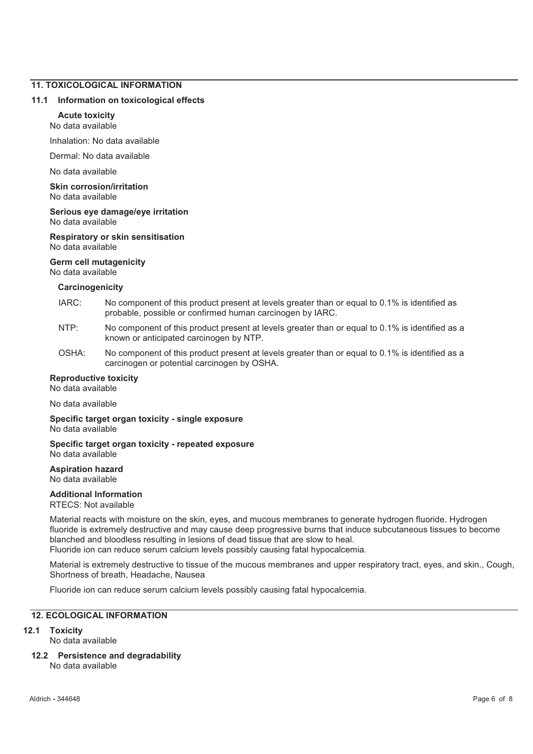# **11. TOXICOLOGICAL INFORMATION**

#### **11.1 Information on toxicological effects**

#### **Acute toxicity**

No data available

Inhalation: No data available

Dermal: No data available

No data available

**Skin corrosion/irritation**  No data available

**Serious eye damage/eye irritation**  No data available

#### **Respiratory or skin sensitisation**  No data available

#### **Germ cell mutagenicity**

No data available

#### **Carcinogenicity**

- IARC: No component of this product present at levels greater than or equal to 0.1% is identified as probable, possible or confirmed human carcinogen by IARC.
- NTP: No component of this product present at levels greater than or equal to 0.1% is identified as a known or anticipated carcinogen by NTP.
- OSHA: No component of this product present at levels greater than or equal to 0.1% is identified as a carcinogen or potential carcinogen by OSHA.

#### **Reproductive toxicity**

No data available

No data available

**Specific target organ toxicity - single exposure**  No data available

**Specific target organ toxicity - repeated exposure**  No data available

#### **Aspiration hazard**  No data available

#### **Additional Information**

RTECS: Not available

Material reacts with moisture on the skin, eyes, and mucous membranes to generate hydrogen fluoride. Hydrogen fluoride is extremely destructive and may cause deep progressive burns that induce subcutaneous tissues to become blanched and bloodless resulting in lesions of dead tissue that are slow to heal. Fluoride ion can reduce serum calcium levels possibly causing fatal hypocalcemia.

Material is extremely destructive to tissue of the mucous membranes and upper respiratory tract, eyes, and skin., Cough, Shortness of breath, Headache, Nausea

Fluoride ion can reduce serum calcium levels possibly causing fatal hypocalcemia.

# **12. ECOLOGICAL INFORMATION**

#### **12.1 Toxicity**

No data available

**12.2 Persistence and degradability** 

No data available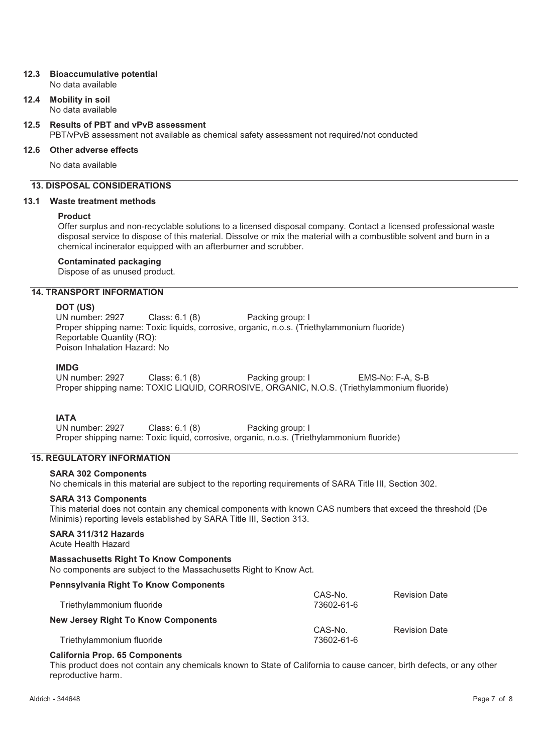# **12.3 Bioaccumulative potential**

No data available

**12.4 Mobility in soil**  No data available

# **12.5 Results of PBT and vPvB assessment**

PBT/vPvB assessment not available as chemical safety assessment not required/not conducted

# **12.6 Other adverse effects**

No data available

# **13. DISPOSAL CONSIDERATIONS**

### **13.1 Waste treatment methods**

### **Product**

Offer surplus and non-recyclable solutions to a licensed disposal company. Contact a licensed professional waste disposal service to dispose of this material. Dissolve or mix the material with a combustible solvent and burn in a chemical incinerator equipped with an afterburner and scrubber.

### **Contaminated packaging**

Dispose of as unused product.

# **14. TRANSPORT INFORMATION**

**DOT (US)** Class: 6.1 (8) Packing group: I Proper shipping name: Toxic liquids, corrosive, organic, n.o.s. (Triethylammonium fluoride) Reportable Quantity (RQ): Poison Inhalation Hazard: No

**IMDG**<br>UN number: 2927 Class: 6.1 (8) Packing group: I EMS-No: F-A, S-B Proper shipping name: TOXIC LIQUID, CORROSIVE, ORGANIC, N.O.S. (Triethylammonium fluoride)

# **IATA**

UN number: 2927 Class: 6.1 (8) Packing group: I Proper shipping name: Toxic liquid, corrosive, organic, n.o.s. (Triethylammonium fluoride)

# **15. REGULATORY INFORMATION**

# **SARA 302 Components**

No chemicals in this material are subject to the reporting requirements of SARA Title III, Section 302.

### **SARA 313 Components**

This material does not contain any chemical components with known CAS numbers that exceed the threshold (De Minimis) reporting levels established by SARA Title III, Section 313.

# **SARA 311/312 Hazards**

Acute Health Hazard

# **Massachusetts Right To Know Components**

No components are subject to the Massachusetts Right to Know Act.

# **Pennsylvania Right To Know Components**

| Triethylammonium fluoride                  | CAS-No.<br>73602-61-6 | <b>Revision Date</b> |
|--------------------------------------------|-----------------------|----------------------|
| <b>New Jersey Right To Know Components</b> |                       |                      |
|                                            | CAS-No.               | <b>Revision Date</b> |
| Triethylammonium fluoride                  | 73602-61-6            |                      |

#### **California Prop. 65 Components**

This product does not contain any chemicals known to State of California to cause cancer, birth defects, or any other reproductive harm.